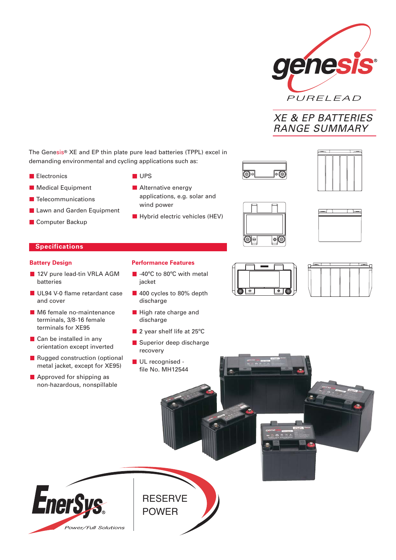

# XE & EP BATTERIES RANGE SUMMARY

The Genesis® XE and EP thin plate pure lead batteries (TPPL) excel in demanding environmental and cycling applications such as:

- **Electronics**
- **Medical Equipment**
- **Telecommunications**
- **Lawn and Garden Equipment**
- **Computer Backup**
- **UPS**
- **Alternative energy** applications, e.g. solar and wind power
- $\blacksquare$  Hybrid electric vehicles (HEV)





# **Specifications**

#### **Battery Design**

- 12V pure lead-tin VRLA AGM batteries
- UL94 V-0 flame retardant case and cover
- **M6** female no-maintenance terminals, 3/8-16 female terminals for XE95
- **Can be installed in any** orientation except inverted
- Rugged construction (optional metal jacket, except for XE95)
- **Approved for shipping as** non-hazardous, nonspillable
- **Performance Features**
- **40°C** to 80°C with metal jacket
- 400 cycles to 80% depth discharge
- **High rate charge and** discharge
- 2 year shelf life at 25°C
- Superior deep discharge recovery
- UL recognised file No. MH12544